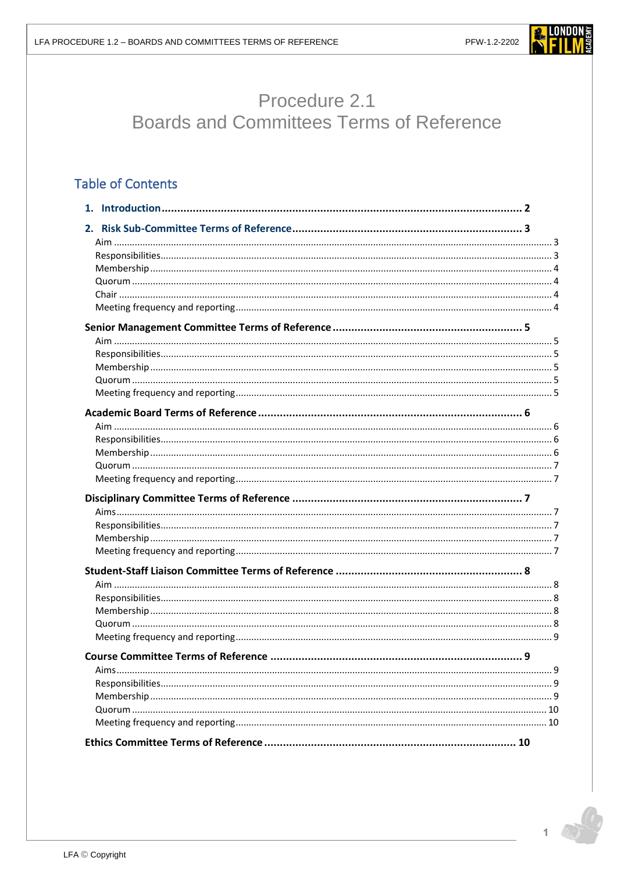

# Procedure 2.1 **Boards and Committees Terms of Reference**

# **Table of Contents**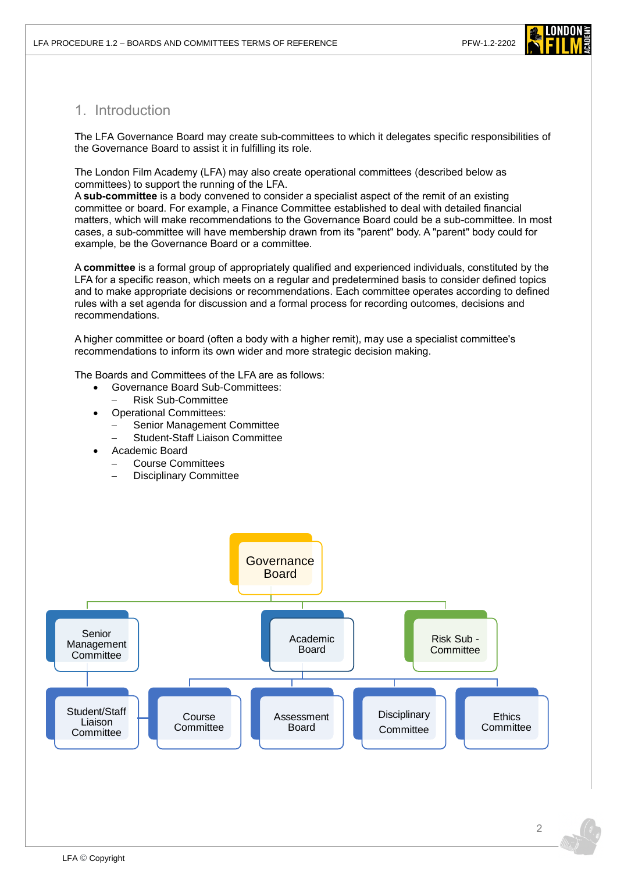

# <span id="page-1-0"></span>1. Introduction

The LFA Governance Board may create sub-committees to which it delegates specific responsibilities of the Governance Board to assist it in fulfilling its role.

The London Film Academy (LFA) may also create operational committees (described below as committees) to support the running of the LFA.

A **sub-committee** is a body convened to consider a specialist aspect of the remit of an existing committee or board. For example, a Finance Committee established to deal with detailed financial matters, which will make recommendations to the Governance Board could be a sub-committee. In most cases, a sub-committee will have membership drawn from its "parent" body. A "parent" body could for example, be the Governance Board or a committee.

A **committee** is a formal group of appropriately qualified and experienced individuals, constituted by the LFA for a specific reason, which meets on a regular and predetermined basis to consider defined topics and to make appropriate decisions or recommendations. Each committee operates according to defined rules with a set agenda for discussion and a formal process for recording outcomes, decisions and recommendations.

A higher committee or board (often a body with a higher remit), may use a specialist committee's recommendations to inform its own wider and more strategic decision making.

The Boards and Committees of the LFA are as follows:

- Governance Board Sub-Committees:
	- − Risk Sub-Committee
	- Operational Committees:
	- Senior Management Committee
		- − Student-Staff Liaison Committee
- Academic Board
	- − Course Committees
	- Disciplinary Committee

<span id="page-1-1"></span>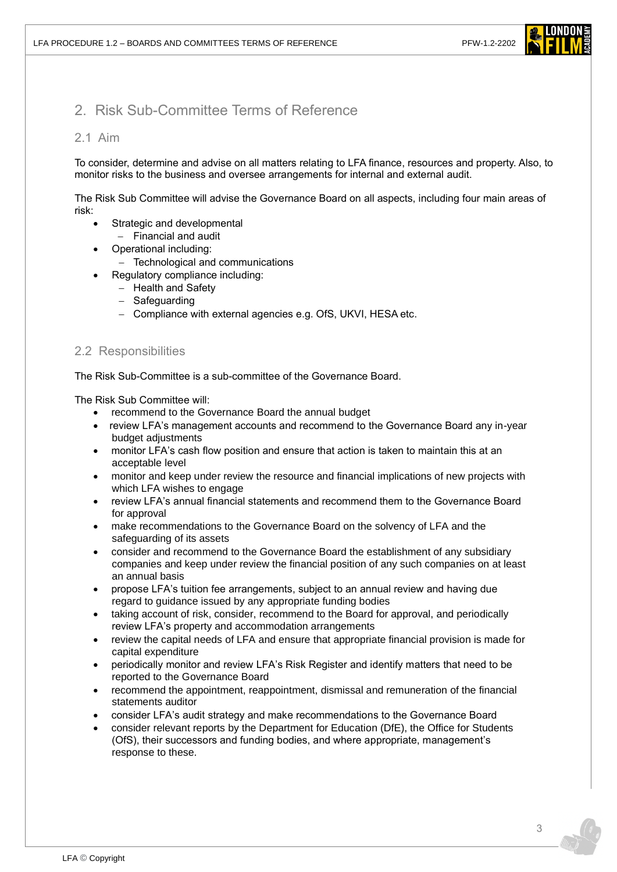

# 2. Risk Sub-Committee Terms of Reference

#### <span id="page-2-0"></span>2.1 Aim

To consider, determine and advise on all matters relating to LFA finance, resources and property. Also, to monitor risks to the business and oversee arrangements for internal and external audit.

The Risk Sub Committee will advise the Governance Board on all aspects, including four main areas of risk:

- Strategic and developmental
	- − Financial and audit
- Operational including:
	- − Technological and communications
- Regulatory compliance including:
	- − Health and Safety
	- − Safeguarding
	- − Compliance with external agencies e.g. OfS, UKVI, HESA etc.

#### <span id="page-2-1"></span>2.2 Responsibilities

The Risk Sub-Committee is a sub-committee of the Governance Board.

The Risk Sub Committee will:

- recommend to the Governance Board the annual budget
- review LFA's management accounts and recommend to the Governance Board any in-year budget adjustments
- monitor LFA's cash flow position and ensure that action is taken to maintain this at an acceptable level
- monitor and keep under review the resource and financial implications of new projects with which LFA wishes to engage
- review LFA's annual financial statements and recommend them to the Governance Board for approval
- make recommendations to the Governance Board on the solvency of LFA and the safeguarding of its assets
- consider and recommend to the Governance Board the establishment of any subsidiary companies and keep under review the financial position of any such companies on at least an annual basis
- propose LFA's tuition fee arrangements, subject to an annual review and having due regard to guidance issued by any appropriate funding bodies
- taking account of risk, consider, recommend to the Board for approval, and periodically review LFA's property and accommodation arrangements
- review the capital needs of LFA and ensure that appropriate financial provision is made for capital expenditure
- periodically monitor and review LFA's Risk Register and identify matters that need to be reported to the Governance Board
- recommend the appointment, reappointment, dismissal and remuneration of the financial statements auditor
- consider LFA's audit strategy and make recommendations to the Governance Board
- consider relevant reports by the Department for Education (DfE), the Office for Students (OfS), their successors and funding bodies, and where appropriate, management's response to these.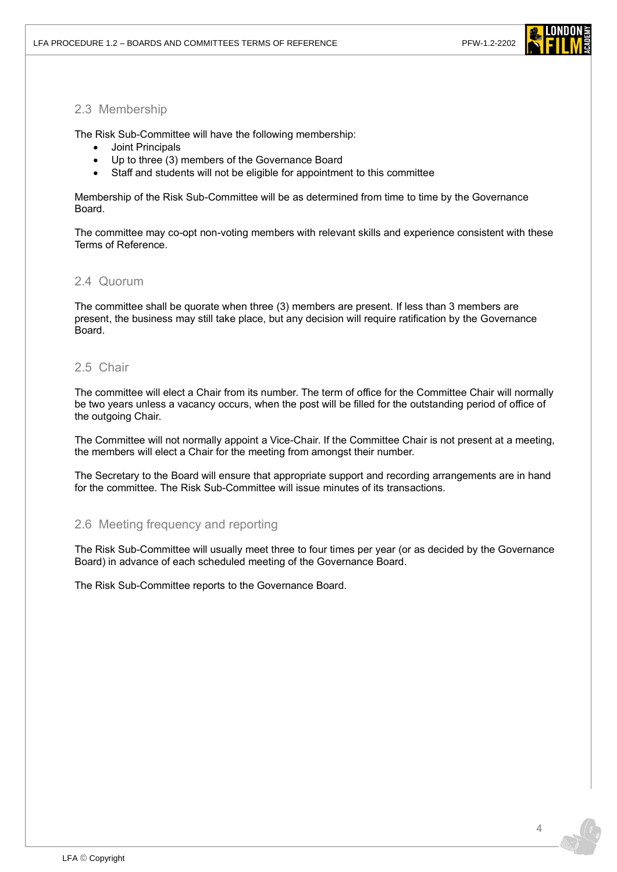

#### <span id="page-3-0"></span>2.3 Membership

The Risk Sub-Committee will have the following membership:

- Joint Principals
- Up to three (3) members of the Governance Board
- Staff and students will not be eligible for appointment to this committee

Membership of the Risk Sub-Committee will be as determined from time to time by the Governance Board.

The committee may co-opt non-voting members with relevant skills and experience consistent with these Terms of Reference.

### <span id="page-3-1"></span>2.4 Quorum

The committee shall be quorate when three (3) members are present. If less than 3 members are present, the business may still take place, but any decision will require ratification by the Governance Board.

### <span id="page-3-2"></span>2.5 Chair

The committee will elect a Chair from its number. The term of office for the Committee Chair will normally be two years unless a vacancy occurs, when the post will be filled for the outstanding period of office of the outgoing Chair.

The Committee will not normally appoint a Vice-Chair. If the Committee Chair is not present at a meeting, the members will elect a Chair for the meeting from amongst their number.

The Secretary to the Board will ensure that appropriate support and recording arrangements are in hand for the committee. The Risk Sub-Committee will issue minutes of its transactions.

#### <span id="page-3-3"></span>2.6 Meeting frequency and reporting

The Risk Sub-Committee will usually meet three to four times per year (or as decided by the Governance Board) in advance of each scheduled meeting of the Governance Board.

The Risk Sub-Committee reports to the Governance Board.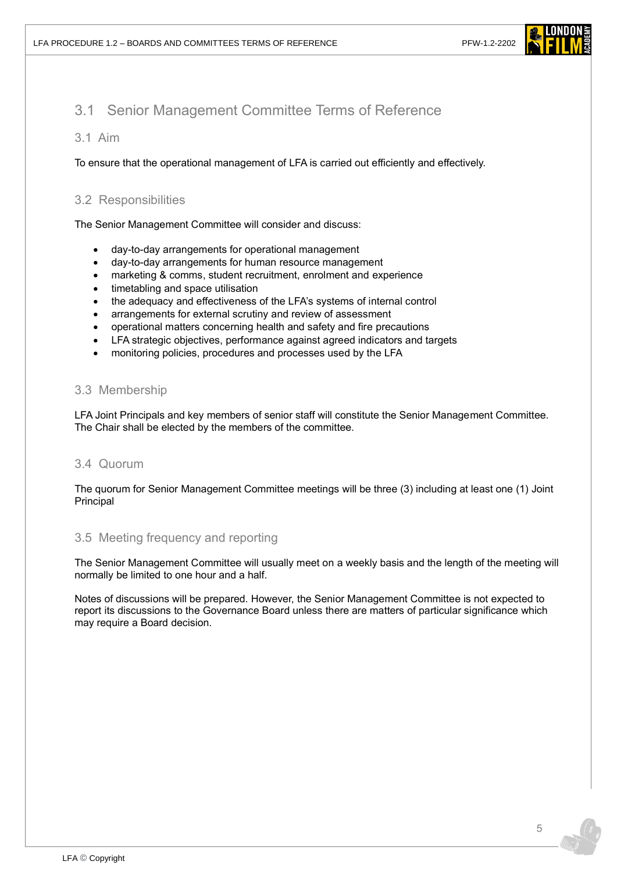

# <span id="page-4-0"></span>3.1 Senior Management Committee Terms of Reference

#### <span id="page-4-1"></span>3.1 Aim

To ensure that the operational management of LFA is carried out efficiently and effectively.

### <span id="page-4-2"></span>3.2 Responsibilities

The Senior Management Committee will consider and discuss:

- day-to-day arrangements for operational management
- day-to-day arrangements for human resource management
- marketing & comms, student recruitment, enrolment and experience
- timetabling and space utilisation
- the adequacy and effectiveness of the LFA's systems of internal control
- arrangements for external scrutiny and review of assessment
- operational matters concerning health and safety and fire precautions
- LFA strategic objectives, performance against agreed indicators and targets
- monitoring policies, procedures and processes used by the LFA

#### <span id="page-4-3"></span>3.3 Membership

LFA Joint Principals and key members of senior staff will constitute the Senior Management Committee. The Chair shall be elected by the members of the committee.

#### <span id="page-4-4"></span>3.4 Quorum

The quorum for Senior Management Committee meetings will be three (3) including at least one (1) Joint Principal

#### <span id="page-4-5"></span>3.5 Meeting frequency and reporting

The Senior Management Committee will usually meet on a weekly basis and the length of the meeting will normally be limited to one hour and a half.

Notes of discussions will be prepared. However, the Senior Management Committee is not expected to report its discussions to the Governance Board unless there are matters of particular significance which may require a Board decision.

5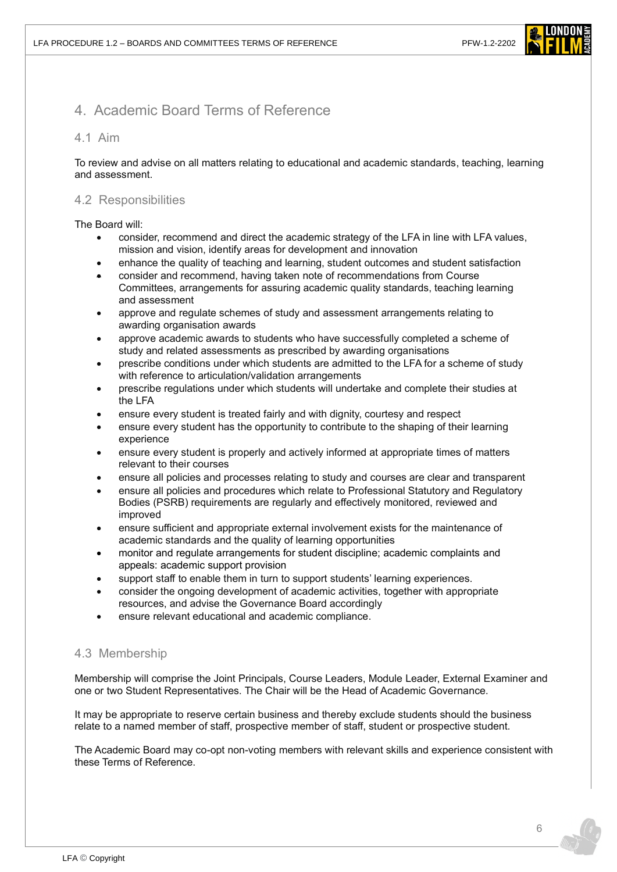

# <span id="page-5-0"></span>4. Academic Board Terms of Reference

#### <span id="page-5-1"></span>4.1 Aim

To review and advise on all matters relating to educational and academic standards, teaching, learning and assessment.

#### <span id="page-5-2"></span>4.2 Responsibilities

The Board will:

- consider, recommend and direct the academic strategy of the LFA in line with LFA values, mission and vision, identify areas for development and innovation
- enhance the quality of teaching and learning, student outcomes and student satisfaction
- consider and recommend, having taken note of recommendations from Course Committees, arrangements for assuring academic quality standards, teaching learning and assessment
- approve and regulate schemes of study and assessment arrangements relating to awarding organisation awards
- approve academic awards to students who have successfully completed a scheme of study and related assessments as prescribed by awarding organisations
- prescribe conditions under which students are admitted to the LFA for a scheme of study with reference to articulation/validation arrangements
- prescribe regulations under which students will undertake and complete their studies at the LFA
- ensure every student is treated fairly and with dignity, courtesy and respect
- ensure every student has the opportunity to contribute to the shaping of their learning experience
- ensure every student is properly and actively informed at appropriate times of matters relevant to their courses
- ensure all policies and processes relating to study and courses are clear and transparent
- ensure all policies and procedures which relate to Professional Statutory and Regulatory Bodies (PSRB) requirements are regularly and effectively monitored, reviewed and improved
- ensure sufficient and appropriate external involvement exists for the maintenance of academic standards and the quality of learning opportunities
- monitor and regulate arrangements for student discipline; academic complaints and appeals: academic support provision
- support staff to enable them in turn to support students' learning experiences.
- consider the ongoing development of academic activities, together with appropriate resources, and advise the Governance Board accordingly
- ensure relevant educational and academic compliance.

#### <span id="page-5-3"></span>4.3 Membership

Membership will comprise the Joint Principals, Course Leaders, Module Leader, External Examiner and one or two Student Representatives. The Chair will be the Head of Academic Governance.

It may be appropriate to reserve certain business and thereby exclude students should the business relate to a named member of staff, prospective member of staff, student or prospective student.

The Academic Board may co-opt non-voting members with relevant skills and experience consistent with these Terms of Reference.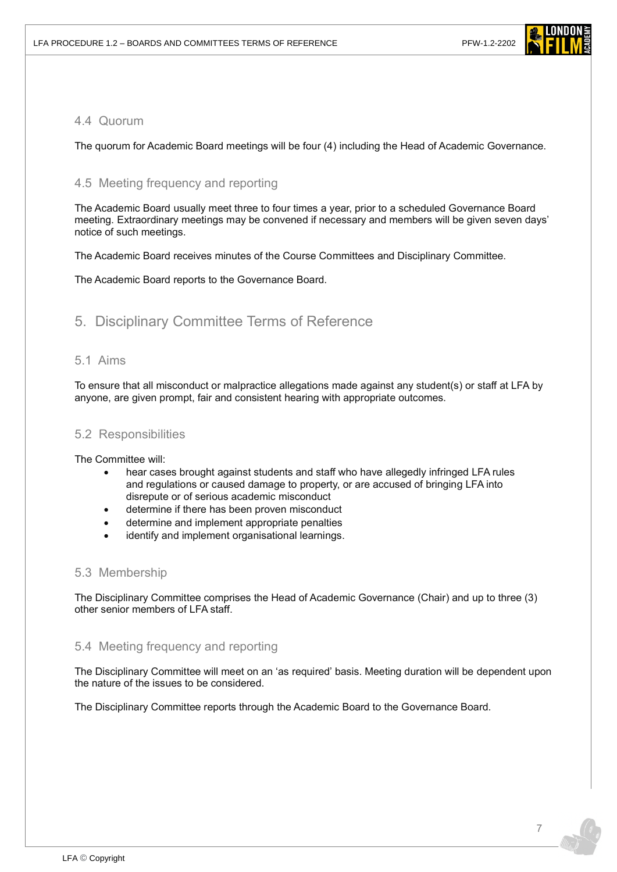

## <span id="page-6-0"></span>4.4 Quorum

The quorum for Academic Board meetings will be four (4) including the Head of Academic Governance.

### <span id="page-6-1"></span>4.5 Meeting frequency and reporting

The Academic Board usually meet three to four times a year, prior to a scheduled Governance Board meeting. Extraordinary meetings may be convened if necessary and members will be given seven days' notice of such meetings.

The Academic Board receives minutes of the Course Committees and Disciplinary Committee.

The Academic Board reports to the Governance Board.

# <span id="page-6-2"></span>5. Disciplinary Committee Terms of Reference

#### <span id="page-6-3"></span>5.1 Aims

To ensure that all misconduct or malpractice allegations made against any student(s) or staff at LFA by anyone, are given prompt, fair and consistent hearing with appropriate outcomes.

#### <span id="page-6-4"></span>5.2 Responsibilities

The Committee will:

- hear cases brought against students and staff who have allegedly infringed LFA rules and regulations or caused damage to property, or are accused of bringing LFA into disrepute or of serious academic misconduct
- determine if there has been proven misconduct
- determine and implement appropriate penalties
- identify and implement organisational learnings.

#### <span id="page-6-5"></span>5.3 Membership

The Disciplinary Committee comprises the Head of Academic Governance (Chair) and up to three (3) other senior members of LFA staff.

#### <span id="page-6-6"></span>5.4 Meeting frequency and reporting

The Disciplinary Committee will meet on an 'as required' basis. Meeting duration will be dependent upon the nature of the issues to be considered.

The Disciplinary Committee reports through the Academic Board to the Governance Board.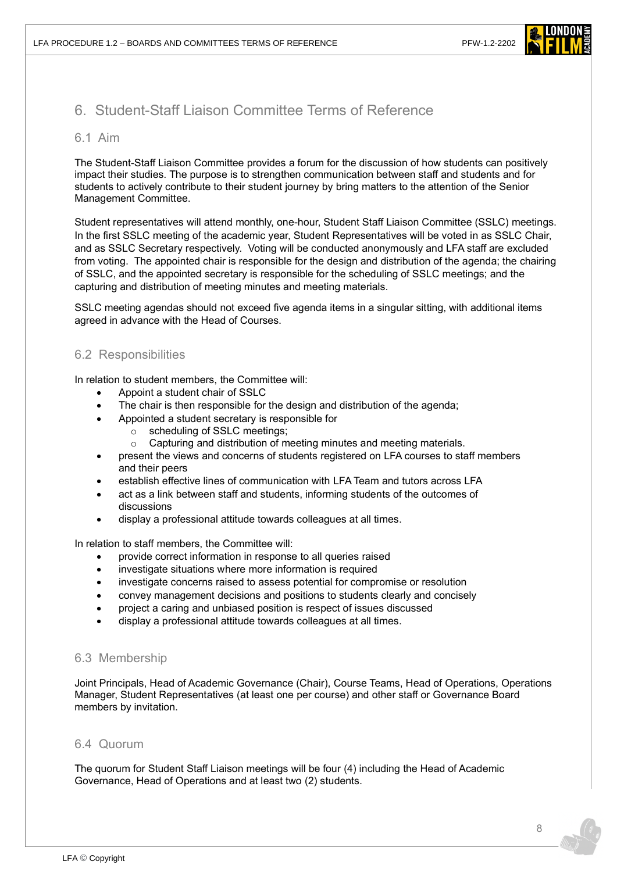

# <span id="page-7-0"></span>6. Student-Staff Liaison Committee Terms of Reference

#### <span id="page-7-1"></span>6.1 Aim

The Student-Staff Liaison Committee provides a forum for the discussion of how students can positively impact their studies. The purpose is to strengthen communication between staff and students and for students to actively contribute to their student journey by bring matters to the attention of the Senior Management Committee.

Student representatives will attend monthly, one-hour, Student Staff Liaison Committee (SSLC) meetings. In the first SSLC meeting of the academic year, Student Representatives will be voted in as SSLC Chair, and as SSLC Secretary respectively. Voting will be conducted anonymously and LFA staff are excluded from voting. The appointed chair is responsible for the design and distribution of the agenda; the chairing of SSLC, and the appointed secretary is responsible for the scheduling of SSLC meetings; and the capturing and distribution of meeting minutes and meeting materials.

SSLC meeting agendas should not exceed five agenda items in a singular sitting, with additional items agreed in advance with the Head of Courses.

#### <span id="page-7-2"></span>6.2 Responsibilities

In relation to student members, the Committee will:

- Appoint a student chair of SSLC
- The chair is then responsible for the design and distribution of the agenda;
	- Appointed a student secretary is responsible for
		- o scheduling of SSLC meetings;
			- o Capturing and distribution of meeting minutes and meeting materials.
- present the views and concerns of students registered on LFA courses to staff members and their peers
- establish effective lines of communication with LFA Team and tutors across LFA
- act as a link between staff and students, informing students of the outcomes of discussions
- display a professional attitude towards colleagues at all times.

In relation to staff members, the Committee will:

- provide correct information in response to all queries raised
- investigate situations where more information is required
- investigate concerns raised to assess potential for compromise or resolution
- convey management decisions and positions to students clearly and concisely
- project a caring and unbiased position is respect of issues discussed
- display a professional attitude towards colleagues at all times.

#### <span id="page-7-3"></span>6.3 Membership

Joint Principals, Head of Academic Governance (Chair), Course Teams, Head of Operations, Operations Manager, Student Representatives (at least one per course) and other staff or Governance Board members by invitation.

#### <span id="page-7-4"></span>6.4 Quorum

The quorum for Student Staff Liaison meetings will be four (4) including the Head of Academic Governance, Head of Operations and at least two (2) students.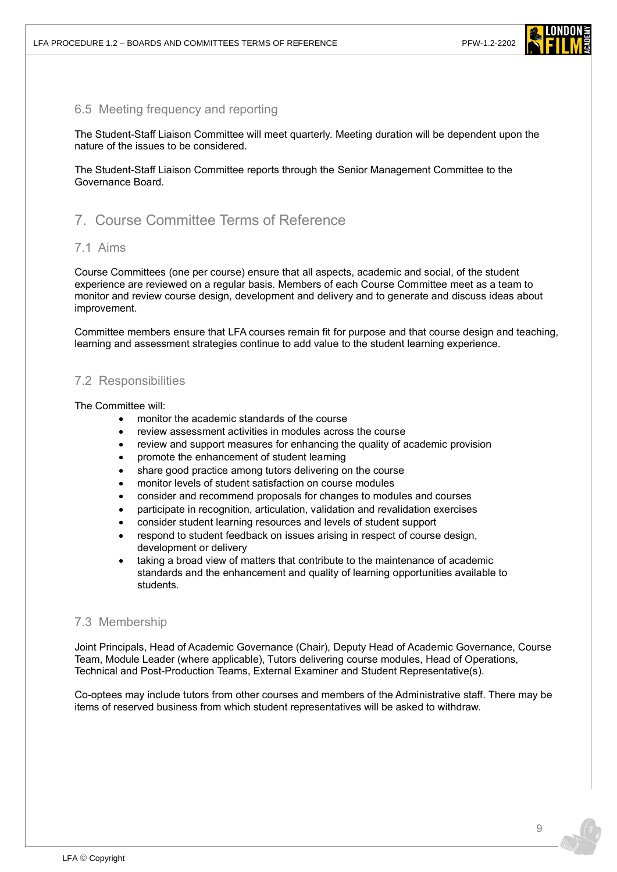

#### <span id="page-8-0"></span>6.5 Meeting frequency and reporting

The Student-Staff Liaison Committee will meet quarterly. Meeting duration will be dependent upon the nature of the issues to be considered.

The Student-Staff Liaison Committee reports through the Senior Management Committee to the Governance Board.

# <span id="page-8-1"></span>7. Course Committee Terms of Reference

#### <span id="page-8-2"></span>7.1 Aims

Course Committees (one per course) ensure that all aspects, academic and social, of the student experience are reviewed on a regular basis. Members of each Course Committee meet as a team to monitor and review course design, development and delivery and to generate and discuss ideas about improvement.

Committee members ensure that LFA courses remain fit for purpose and that course design and teaching, learning and assessment strategies continue to add value to the student learning experience.

#### <span id="page-8-3"></span>7.2 Responsibilities

The Committee will:

- monitor the academic standards of the course
- review assessment activities in modules across the course
- review and support measures for enhancing the quality of academic provision
- promote the enhancement of student learning
- share good practice among tutors delivering on the course
- monitor levels of student satisfaction on course modules
- consider and recommend proposals for changes to modules and courses
- participate in recognition, articulation, validation and revalidation exercises
- consider student learning resources and levels of student support
- respond to student feedback on issues arising in respect of course design, development or delivery
- taking a broad view of matters that contribute to the maintenance of academic standards and the enhancement and quality of learning opportunities available to students.

#### <span id="page-8-4"></span>7.3 Membership

Joint Principals, Head of Academic Governance (Chair), Deputy Head of Academic Governance, Course Team, Module Leader (where applicable), Tutors delivering course modules, Head of Operations, Technical and Post-Production Teams, External Examiner and Student Representative(s).

<span id="page-8-5"></span>Co-optees may include tutors from other courses and members of the Administrative staff. There may be items of reserved business from which student representatives will be asked to withdraw.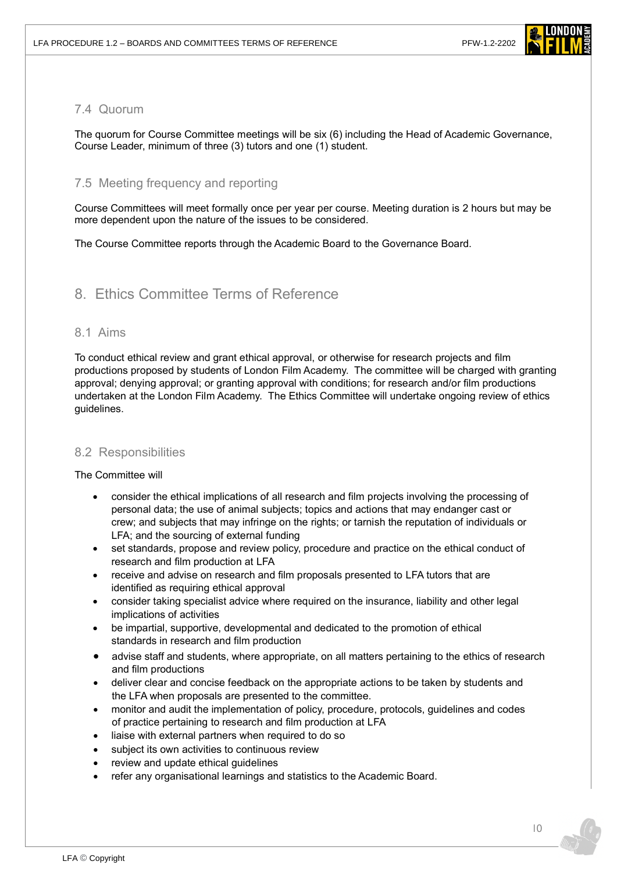

#### 7.4 Quorum

The quorum for Course Committee meetings will be six (6) including the Head of Academic Governance, Course Leader, minimum of three (3) tutors and one (1) student.

#### <span id="page-9-0"></span>7.5 Meeting frequency and reporting

Course Committees will meet formally once per year per course. Meeting duration is 2 hours but may be more dependent upon the nature of the issues to be considered.

<span id="page-9-1"></span>The Course Committee reports through the Academic Board to the Governance Board.

## 8. Ethics Committee Terms of Reference

#### 8.1 Aims

To conduct ethical review and grant ethical approval, or otherwise for research projects and film productions proposed by students of London Film Academy. The committee will be charged with granting approval; denying approval; or granting approval with conditions; for research and/or film productions undertaken at the London Film Academy. The Ethics Committee will undertake ongoing review of ethics guidelines.

#### 8.2 Responsibilities

#### The Committee will

- consider the ethical implications of all research and film projects involving the processing of personal data; the use of animal subjects; topics and actions that may endanger cast or crew; and subjects that may infringe on the rights; or tarnish the reputation of individuals or LFA; and the sourcing of external funding
- set standards, propose and review policy, procedure and practice on the ethical conduct of research and film production at LFA
- receive and advise on research and film proposals presented to LFA tutors that are identified as requiring ethical approval
- consider taking specialist advice where required on the insurance, liability and other legal implications of activities
- be impartial, supportive, developmental and dedicated to the promotion of ethical standards in research and film production
- advise staff and students, where appropriate, on all matters pertaining to the ethics of research and film productions
- deliver clear and concise feedback on the appropriate actions to be taken by students and the LFA when proposals are presented to the committee.
- monitor and audit the implementation of policy, procedure, protocols, guidelines and codes of practice pertaining to research and film production at LFA
- liaise with external partners when required to do so
- subject its own activities to continuous review
- review and update ethical guidelines
- refer any organisational learnings and statistics to the Academic Board.